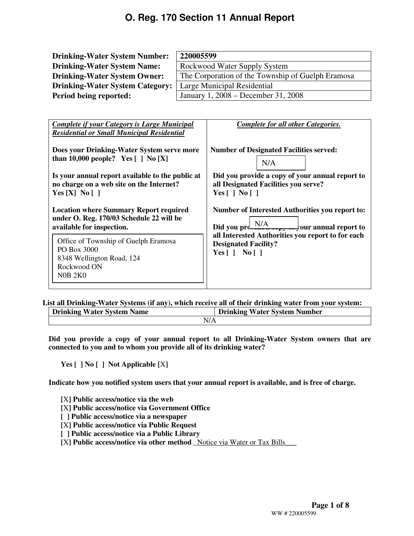| <b>Drinking-Water System Number:</b>                                                                                   | 220005599                                                                                                      |  |  |  |
|------------------------------------------------------------------------------------------------------------------------|----------------------------------------------------------------------------------------------------------------|--|--|--|
| <b>Drinking-Water System Name:</b>                                                                                     | Rockwood Water Supply System                                                                                   |  |  |  |
| <b>Drinking-Water System Owner:</b>                                                                                    | The Corporation of the Township of Guelph Eramosa                                                              |  |  |  |
| <b>Drinking-Water System Category:</b>                                                                                 | Large Municipal Residential                                                                                    |  |  |  |
| Period being reported:                                                                                                 | January 1, 2008 - December 31, 2008                                                                            |  |  |  |
| <b>Complete if your Category is Large Municipal</b>                                                                    | <b>Complete for all other Categories.</b>                                                                      |  |  |  |
| <b>Residential or Small Municipal Residential</b>                                                                      |                                                                                                                |  |  |  |
| Does your Drinking-Water System serve more<br>than 10,000 people? Yes $\lceil \ \rceil$ No $\lceil X \rceil$           | <b>Number of Designated Facilities served:</b><br>N/A                                                          |  |  |  |
| Is your annual report available to the public at                                                                       | Did you provide a copy of your annual report to                                                                |  |  |  |
| no charge on a web site on the Internet?                                                                               | all Designated Facilities you serve?                                                                           |  |  |  |
| Yes $[X]$ No $[$ ]                                                                                                     | Yes $\lceil$   No $\lceil$                                                                                     |  |  |  |
| <b>Location where Summary Report required</b><br>under O. Reg. 170/03 Schedule 22 will be<br>available for inspection. | <b>Number of Interested Authorities you report to:</b><br>Did you produce $\frac{N/A}{N}$ our annual report to |  |  |  |

Office of Township of Guelph Eramosa PO Box 3000 8348 Wellington Road, 124 Rockwood ON N0B 2K0

**List all Drinking-Water Systems (if any), which receive all of their drinking water from your system:** 

| <b>Water System</b> | <b>Water System</b> |
|---------------------|---------------------|
| <b>Drinking</b>     | <b>Number</b>       |
| <b>Name</b>         | Drinking            |
| N/A                 |                     |

**Did you provide a copy of your annual report to all Drinking-Water System owners that are connected to you and to whom you provide all of its drinking water?** 

**Yes [ ] No [ ] Not Applicable [**X**]** 

**Indicate how you notified system users that your annual report is available, and is free of charge.** 

**[**X**] Public access/notice via the web** 

- **[**X**] Public access/notice via Government Office**
- **[ ] Public access/notice via a newspaper**
- **[**X**] Public access/notice via Public Request**
- **[ ] Public access/notice via a Public Library**
- **[**X**] Public access/notice via other method \_**Notice via Water or Tax Bills\_\_\_

**all Interested Authorities you report to for each** 

**Designated Facility? Yes [ ] No [ ]**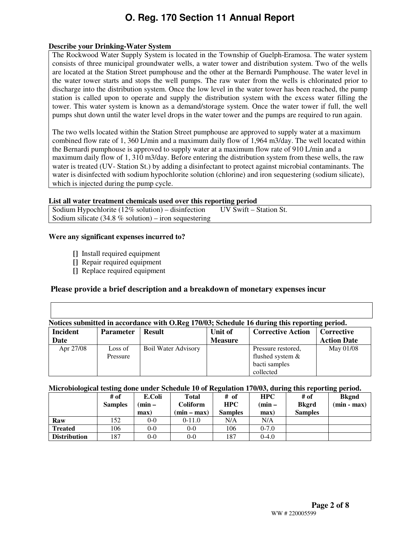#### **Describe your Drinking-Water System**

The Rockwood Water Supply System is located in the Township of Guelph-Eramosa. The water system consists of three municipal groundwater wells, a water tower and distribution system. Two of the wells are located at the Station Street pumphouse and the other at the Bernardi Pumphouse. The water level in the water tower starts and stops the well pumps. The raw water from the wells is chlorinated prior to discharge into the distribution system. Once the low level in the water tower has been reached, the pump station is called upon to operate and supply the distribution system with the excess water filling the tower. This water system is known as a demand/storage system. Once the water tower if full, the well pumps shut down until the water level drops in the water tower and the pumps are required to run again.

The two wells located within the Station Street pumphouse are approved to supply water at a maximum combined flow rate of 1, 360 L/min and a maximum daily flow of 1,964 m3/day. The well located within the Bernardi pumphouse is approved to supply water at a maximum flow rate of 910 L/min and a maximum daily flow of 1, 310 m3/day. Before entering the distribution system from these wells, the raw water is treated (UV- Station St.) by adding a disinfectant to protect against microbial contaminants. The water is disinfected with sodium hypochlorite solution (chlorine) and iron sequestering (sodium silicate), which is injected during the pump cycle.

#### **List all water treatment chemicals used over this reporting period**

Sodium Hypochlorite  $(12\% \text{ solution}) -$  disinfection UV Swift – Station St. Sodium silicate (34.8  $%$  solution) – iron sequestering

#### **Were any significant expenses incurred to?**

- **[]** Install required equipment
- **[]** Repair required equipment
- **[]** Replace required equipment

### **Please provide a brief description and a breakdown of monetary expenses incur**

| Notices submitted in accordance with O.Reg 170/03; Schedule 16 during this reporting period. |                     |                            |                           |                                                                      |                                  |  |  |
|----------------------------------------------------------------------------------------------|---------------------|----------------------------|---------------------------|----------------------------------------------------------------------|----------------------------------|--|--|
| <b>Incident</b><br>Date                                                                      | <b>Parameter</b>    | <b>Result</b>              | Unit of<br><b>Measure</b> | <b>Corrective Action</b>                                             | Corrective<br><b>Action Date</b> |  |  |
| Apr 27/08                                                                                    | Loss of<br>Pressure | <b>Boil Water Advisory</b> |                           | Pressure restored,<br>flushed system &<br>bacti samples<br>collected | May 01/08                        |  |  |

#### **Microbiological testing done under Schedule 10 of Regulation 170/03, during this reporting period.**

|                     | # of           | E.Coli   | Total         | # of           | <b>HPC</b> | # of           | <b>Bkgnd</b>  |
|---------------------|----------------|----------|---------------|----------------|------------|----------------|---------------|
|                     | <b>Samples</b> | $(min -$ | Coliform      | <b>HPC</b>     | $(min -$   | <b>Bkgrd</b>   | $(min - max)$ |
|                     |                | max)     | $(min - max)$ | <b>Samples</b> | max)       | <b>Samples</b> |               |
| Raw                 | 152.           | $0-0$    | $0-11.0$      | N/A            | N/A        |                |               |
| <b>Treated</b>      | 106            | $0-0$    | $0 - 0$       | 106            | $0-7.0$    |                |               |
| <b>Distribution</b> | 187            | $0-0$    | 0-0           | 187            | $0-4.0$    |                |               |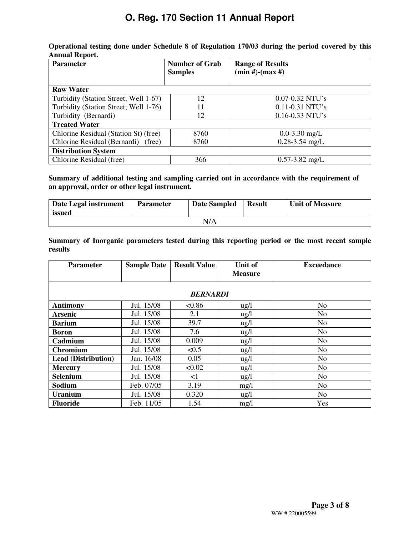| <b>Parameter</b>                       | <b>Number of Grab</b><br><b>Samples</b> | <b>Range of Results</b><br>$(min #)-(max #)$ |
|----------------------------------------|-----------------------------------------|----------------------------------------------|
|                                        |                                         |                                              |
| <b>Raw Water</b>                       |                                         |                                              |
| Turbidity (Station Street; Well 1-67)  | 12                                      | $0.07 - 0.32$ NTU's                          |
| Turbidity (Station Street; Well 1-76)  | 11                                      | $0.11 - 0.31$ NTU's                          |
| Turbidity (Bernardi)                   | 12                                      | $0.16 - 0.33$ NTU's                          |
| <b>Treated Water</b>                   |                                         |                                              |
| Chlorine Residual (Station St) (free)  | 8760                                    | $0.0 - 3.30$ mg/L                            |
| Chlorine Residual (Bernardi)<br>(free) | 8760                                    | $0.28 - 3.54$ mg/L                           |
| <b>Distribution System</b>             |                                         |                                              |
| Chlorine Residual (free)               | 366                                     | $0.57 - 3.82$ mg/L                           |

**Operational testing done under Schedule 8 of Regulation 170/03 during the period covered by this Annual Report.** 

**Summary of additional testing and sampling carried out in accordance with the requirement of an approval, order or other legal instrument.** 

| Date Legal instrument<br>issued | <b>Parameter</b> | <b>Date Sampled</b> | <b>Result</b> | <b>Unit of Measure</b> |  |  |
|---------------------------------|------------------|---------------------|---------------|------------------------|--|--|
| N/A                             |                  |                     |               |                        |  |  |

**Summary of Inorganic parameters tested during this reporting period or the most recent sample results** 

| <b>Parameter</b>           | <b>Sample Date</b> | <b>Result Value</b> | Unit of         | <b>Exceedance</b> |
|----------------------------|--------------------|---------------------|-----------------|-------------------|
|                            |                    |                     | <b>Measure</b>  |                   |
|                            |                    |                     |                 |                   |
|                            |                    | <b>BERNARDI</b>     |                 |                   |
| <b>Antimony</b>            | Jul. 15/08         | < 0.86              | $\frac{1}{2}$   | N <sub>o</sub>    |
| <b>Arsenic</b>             | Jul. 15/08         | 2.1                 | $\frac{u}{g}$   | N <sub>o</sub>    |
| <b>Barium</b>              | Jul. 15/08         | 39.7                | $\frac{u g}{l}$ | No.               |
| <b>Boron</b>               | Jul. 15/08         | 7.6                 | $\frac{u g}{l}$ | N <sub>o</sub>    |
| Cadmium                    | Jul. 15/08         | 0.009               | $\frac{u g}{l}$ | N <sub>o</sub>    |
| <b>Chromium</b>            | Jul. 15/08         | < 0.5               | $\frac{1}{2}$   | N <sub>0</sub>    |
| <b>Lead (Distribution)</b> | Jan. 16/08         | 0.05                | $\frac{u g}{l}$ | N <sub>o</sub>    |
| <b>Mercury</b>             | Jul. 15/08         | < 0.02              | $\frac{u}{g}$   | No                |
| <b>Selenium</b>            | Jul. 15/08         | $\leq$ 1            | $\frac{u}{g}$   | N <sub>o</sub>    |
| Sodium                     | Feb. 07/05         | 3.19                | mg/l            | N <sub>o</sub>    |
| <b>Uranium</b>             | Jul. 15/08         | 0.320               | $\frac{u g}{l}$ | N <sub>0</sub>    |
| <b>Fluoride</b>            | Feb. 11/05         | 1.54                | mg/l            | Yes               |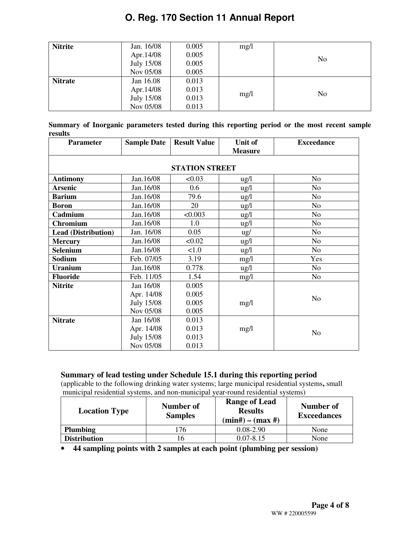| <b>Nitrite</b> | Jan. 16/08 | 0.005 | mg/1 |                |
|----------------|------------|-------|------|----------------|
|                | Apr. 14/08 | 0.005 |      | N <sub>0</sub> |
|                | July 15/08 | 0.005 |      |                |
|                | Nov 05/08  | 0.005 |      |                |
| <b>Nitrate</b> | Jan 16.08  | 0.013 |      |                |
|                | Apr. 14/08 | 0.013 |      | N <sub>0</sub> |
|                | July 15/08 | 0.013 | mg/1 |                |
|                | Nov 05/08  | 0.013 |      |                |

**Summary of Inorganic parameters tested during this reporting period or the most recent sample results** 

| <b>Parameter</b>           | <b>Sample Date</b> | <b>Result Value</b>   | Unit of         | <b>Exceedance</b> |
|----------------------------|--------------------|-----------------------|-----------------|-------------------|
|                            |                    |                       | <b>Measure</b>  |                   |
|                            |                    |                       |                 |                   |
|                            |                    | <b>STATION STREET</b> |                 |                   |
| <b>Antimony</b>            | Jan.16/08          | < 0.03                | $\frac{1}{2}$   | N <sub>o</sub>    |
| <b>Arsenic</b>             | Jan.16/08          | 0.6                   | $\frac{u g}{l}$ | N <sub>o</sub>    |
| <b>Barium</b>              | Jan.16/08          | 79.6                  | $\frac{1}{2}$   | N <sub>o</sub>    |
| <b>Boron</b>               | Jan.16/08          | 20                    | $\frac{1}{2}$   | N <sub>o</sub>    |
| Cadmium                    | Jan.16/08          | < 0.003               | $\frac{1}{2}$   | N <sub>o</sub>    |
| <b>Chromium</b>            | Jan.16/08          | 1.0                   | $\frac{1}{2}$   | N <sub>o</sub>    |
| <b>Lead (Distribution)</b> | Jan. 16/08         | 0.05                  | $\frac{u}{g}$   | N <sub>o</sub>    |
| <b>Mercury</b>             | Jan.16/08          | < 0.02                | $\frac{u g}{l}$ | N <sub>o</sub>    |
| <b>Selenium</b>            | Jan.16/08          | < 1.0                 | $\frac{u g}{l}$ | N <sub>o</sub>    |
| Sodium                     | Feb. 07/05         | 3.19                  | mg/1            | Yes               |
| <b>Uranium</b>             | Jan.16/08          | 0.778                 | $\frac{u g}{l}$ | N <sub>o</sub>    |
| <b>Fluoride</b>            | Feb. 11/05         | 1.54                  | mg/l            | No                |
| <b>Nitrite</b>             | Jan 16/08          | 0.005                 |                 |                   |
|                            | Apr. 14/08         | 0.005                 |                 | N <sub>o</sub>    |
|                            | <b>July 15/08</b>  | 0.005                 | mg/l            |                   |
|                            | Nov 05/08          | 0.005                 |                 |                   |
| <b>Nitrate</b>             | Jan 16/08          | 0.013                 |                 |                   |
|                            | Apr. 14/08         | 0.013                 | mg/l            | N <sub>o</sub>    |
|                            | <b>July 15/08</b>  | 0.013                 |                 |                   |
|                            | Nov 05/08          | 0.013                 |                 |                   |

### **Summary of lead testing under Schedule 15.1 during this reporting period**

(applicable to the following drinking water systems; large municipal residential systems**,** small municipal residential systems, and non-municipal year-round residential systems)

| <b>Location Type</b> | Number of<br><b>Samples</b> | <b>Range of Lead</b><br><b>Results</b><br>$(min#) - (max#)$ | Number of<br><b>Exceedances</b> |
|----------------------|-----------------------------|-------------------------------------------------------------|---------------------------------|
| <b>Plumbing</b>      | '76                         | $0.08 - 2.90$                                               | None                            |
| <b>Distribution</b>  | 16                          | $0.07 - 8.15$                                               | None                            |

• **44 sampling points with 2 samples at each point (plumbing per session)**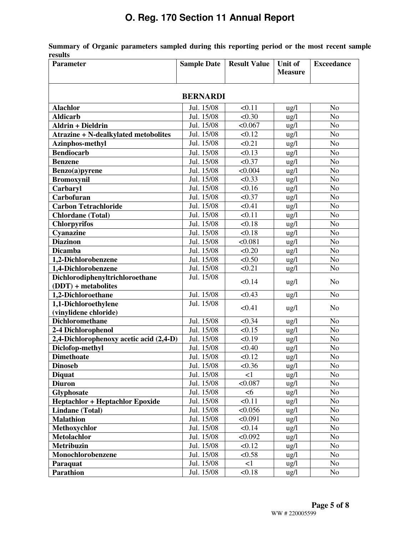**Summary of Organic parameters sampled during this reporting period or the most recent sample results** 

| <b>Parameter</b>                            | <b>Sample Date</b>              | <b>Result Value</b> | Unit of         | <b>Exceedance</b> |  |  |  |
|---------------------------------------------|---------------------------------|---------------------|-----------------|-------------------|--|--|--|
|                                             |                                 |                     | <b>Measure</b>  |                   |  |  |  |
|                                             |                                 |                     |                 |                   |  |  |  |
| <b>BERNARDI</b>                             |                                 |                     |                 |                   |  |  |  |
| <b>Alachlor</b>                             | Jul. 15/08                      | < 0.11              | ug/l            | N <sub>o</sub>    |  |  |  |
| <b>Aldicarb</b>                             | Jul. 15/08                      | < 0.30              | ug/l            | N <sub>o</sub>    |  |  |  |
| <b>Aldrin + Dieldrin</b>                    | Jul. 15/08                      | < 0.067             | $\frac{u}{g}$   | N <sub>o</sub>    |  |  |  |
| <b>Atrazine + N-dealkylated metobolites</b> | Jul. 15/08                      | < 0.12              | ug/l            | N <sub>o</sub>    |  |  |  |
| <b>Azinphos-methyl</b>                      | $\overline{\text{Jul. } 15/08}$ | < 0.21              | ug/l            | N <sub>o</sub>    |  |  |  |
| <b>Bendiocarb</b>                           | Jul. 15/08                      | < 0.13              | ug/l            | N <sub>o</sub>    |  |  |  |
| <b>Benzene</b>                              | Jul. 15/08                      | < 0.37              | ug/l            | N <sub>o</sub>    |  |  |  |
| Benzo(a)pyrene                              | Jul. 15/08                      | < 0.004             | ug/l            | N <sub>o</sub>    |  |  |  |
| <b>Bromoxynil</b>                           | Jul. 15/08                      | < 0.33              | ug/l            | N <sub>o</sub>    |  |  |  |
| Carbaryl                                    | Jul. 15/08                      | < 0.16              | ug/l            | N <sub>o</sub>    |  |  |  |
| Carbofuran                                  | Jul. 15/08                      | < 0.37              | ug/l            | N <sub>o</sub>    |  |  |  |
| <b>Carbon Tetrachloride</b>                 | Jul. 15/08                      | < 0.41              | ug/l            | N <sub>o</sub>    |  |  |  |
| <b>Chlordane</b> (Total)                    | Jul. 15/08                      | < 0.11              | ug/l            | N <sub>o</sub>    |  |  |  |
| <b>Chlorpyrifos</b>                         | Jul. 15/08                      | < 0.18              | ug/l            | N <sub>o</sub>    |  |  |  |
| Cyanazine                                   | Jul. 15/08                      | < 0.18              | ug/l            | N <sub>o</sub>    |  |  |  |
| <b>Diazinon</b>                             | Jul. 15/08                      | < 0.081             | ug/l            | N <sub>o</sub>    |  |  |  |
| <b>Dicamba</b>                              | Jul. 15/08                      | < 0.20              | ug/l            | N <sub>o</sub>    |  |  |  |
| 1,2-Dichlorobenzene                         | Jul. 15/08                      | < 0.50              | ug/l            | N <sub>o</sub>    |  |  |  |
| 1,4-Dichlorobenzene                         | Jul. 15/08                      | < 0.21              | ug/l            | N <sub>o</sub>    |  |  |  |
| Dichlorodiphenyltrichloroethane             | Jul. 15/08                      | < 0.14              |                 |                   |  |  |  |
| $(DDT)$ + metabolites                       |                                 |                     | ug/l            | N <sub>o</sub>    |  |  |  |
| 1,2-Dichloroethane                          | Jul. 15/08                      | < 0.43              | $\frac{u g}{l}$ | N <sub>o</sub>    |  |  |  |
| 1,1-Dichloroethylene                        | Jul. 15/08                      | < 0.41              |                 | N <sub>o</sub>    |  |  |  |
| (vinylidene chloride)                       |                                 |                     | ug/l            |                   |  |  |  |
| Dichloromethane                             | Jul. 15/08                      | < 0.34              | $\frac{u g}{l}$ | N <sub>o</sub>    |  |  |  |
| 2-4 Dichlorophenol                          | Jul. 15/08                      | < 0.15              | ug/l            | N <sub>o</sub>    |  |  |  |
| 2,4-Dichlorophenoxy acetic acid (2,4-D)     | Jul. 15/08                      | < 0.19              | ug/l            | N <sub>o</sub>    |  |  |  |
| Diclofop-methyl                             | Jul. 15/08                      | < 0.40              | ug/l            | N <sub>o</sub>    |  |  |  |
| <b>Dimethoate</b>                           | Jul. 15/08                      | < 0.12              | ug/l            | N <sub>o</sub>    |  |  |  |
| <b>Dinoseb</b>                              | Jul. 15/08                      | < 0.36              | ug/l            | No                |  |  |  |
| <b>Diquat</b>                               | Jul. 15/08                      | $\leq$ 1            | ug/l            | N <sub>o</sub>    |  |  |  |
| <b>Diuron</b>                               | Jul. 15/08                      | < 0.087             | $\frac{u g}{l}$ | N <sub>o</sub>    |  |  |  |
| Glyphosate                                  | Jul. 15/08                      | <6                  | ug/l            | N <sub>o</sub>    |  |  |  |
| <b>Heptachlor + Heptachlor Epoxide</b>      | Jul. 15/08                      | < 0.11              | ug/l            | N <sub>o</sub>    |  |  |  |
| <b>Lindane</b> (Total)                      | Jul. 15/08                      | < 0.056             | $\frac{u g}{l}$ | N <sub>o</sub>    |  |  |  |
| <b>Malathion</b>                            | Jul. 15/08                      | < 0.091             | ug/l            | N <sub>o</sub>    |  |  |  |
| Methoxychlor                                | Jul. 15/08                      | < 0.14              | $\frac{u g}{l}$ | N <sub>o</sub>    |  |  |  |
| <b>Metolachlor</b>                          | Jul. 15/08                      | < 0.092             | ug/l            | N <sub>o</sub>    |  |  |  |
| <b>Metribuzin</b>                           | Jul. 15/08                      | < 0.12              | $\frac{u g}{l}$ | N <sub>o</sub>    |  |  |  |
| Monochlorobenzene                           | Jul. 15/08                      | < 0.58              | $\frac{u g}{l}$ | N <sub>o</sub>    |  |  |  |
| Paraquat                                    | Jul. 15/08                      | $\leq$ 1            | $\frac{u g}{l}$ | No                |  |  |  |
| Parathion                                   | Jul. 15/08                      | < 0.18              | ug/l            | N <sub>o</sub>    |  |  |  |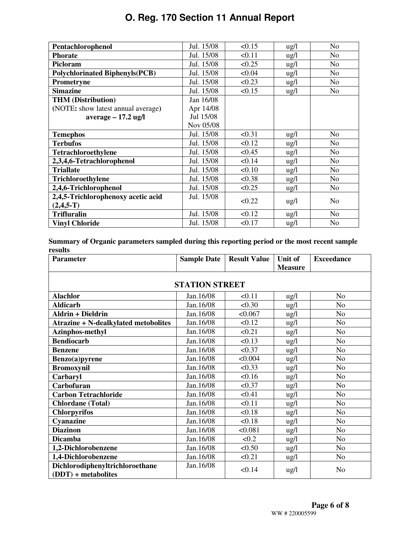| Pentachlorophenol                     | Jul. 15/08 | < 0.15 | $\frac{u g}{l}$ | No             |
|---------------------------------------|------------|--------|-----------------|----------------|
| <b>Phorate</b>                        | Jul. 15/08 | < 0.11 | ug/l            | N <sub>o</sub> |
| Picloram                              | Jul. 15/08 | < 0.25 | $\frac{u g}{l}$ | N <sub>o</sub> |
| <b>Polychlorinated Biphenyls(PCB)</b> | Jul. 15/08 | < 0.04 | ug/l            | N <sub>o</sub> |
| <b>Prometryne</b>                     | Jul. 15/08 | < 0.23 | ug/l            | N <sub>0</sub> |
| <b>Simazine</b>                       | Jul. 15/08 | < 0.15 | $\frac{1}{2}$   | N <sub>o</sub> |
| <b>THM</b> (Distribution)             | Jan 16/08  |        |                 |                |
| (NOTE: show latest annual average)    | Apr 14/08  |        |                 |                |
| $average - 17.2$ ug/l                 | Jul 15/08  |        |                 |                |
|                                       | Nov 05/08  |        |                 |                |
| <b>Temephos</b>                       | Jul. 15/08 | < 0.31 | $\frac{u g}{l}$ | No             |
| <b>Terbufos</b>                       | Jul. 15/08 | < 0.12 | ug/l            | N <sub>0</sub> |
| Tetrachloroethylene                   | Jul. 15/08 | < 0.45 | $\frac{u g}{l}$ | N <sub>o</sub> |
| 2,3,4,6-Tetrachlorophenol             | Jul. 15/08 | < 0.14 | $\frac{1}{2}$   | N <sub>o</sub> |
| <b>Triallate</b>                      | Jul. 15/08 | < 0.10 | $\frac{1}{2}$   | N <sub>0</sub> |
| <b>Trichloroethylene</b>              | Jul. 15/08 | < 0.38 | ug/l            | No             |
| 2,4,6-Trichlorophenol                 | Jul. 15/08 | < 0.25 | $\frac{1}{2}$   | N <sub>o</sub> |
| 2,4,5-Trichlorophenoxy acetic acid    | Jul. 15/08 | < 0.22 |                 |                |
| $(2,4,5-T)$                           |            |        | $\frac{u g}{l}$ | N <sub>0</sub> |
| <b>Trifluralin</b>                    | Jul. 15/08 | < 0.12 | $\frac{1}{2}$   | No.            |
| <b>Vinyl Chloride</b>                 | Jul. 15/08 | < 0.17 | $\frac{1}{2}$   | N <sub>0</sub> |

**Summary of Organic parameters sampled during this reporting period or the most recent sample results** 

| <b>Parameter</b>                                         | <b>Sample Date</b> | <b>Result Value</b> | Unit of         | <b>Exceedance</b> |  |  |  |
|----------------------------------------------------------|--------------------|---------------------|-----------------|-------------------|--|--|--|
|                                                          |                    |                     | <b>Measure</b>  |                   |  |  |  |
|                                                          |                    |                     |                 |                   |  |  |  |
| <b>STATION STREET</b>                                    |                    |                     |                 |                   |  |  |  |
| <b>Alachlor</b>                                          | Jan.16/08          | < 0.11              | $\frac{1}{2}$   | N <sub>o</sub>    |  |  |  |
| <b>Aldicarb</b>                                          | Jan.16/08          | < 0.30              | $\frac{1}{2}$   | N <sub>o</sub>    |  |  |  |
| <b>Aldrin + Dieldrin</b>                                 | Jan.16/08          | < 0.067             | $\frac{u g}{l}$ | N <sub>o</sub>    |  |  |  |
| <b>Atrazine + N-dealkylated metobolites</b>              | Jan.16/08          | < 0.12              | ug/l            | N <sub>o</sub>    |  |  |  |
| <b>Azinphos-methyl</b>                                   | Jan.16/08          | < 0.21              | $\frac{u g}{l}$ | N <sub>o</sub>    |  |  |  |
| <b>Bendiocarb</b>                                        | Jan.16/08          | < 0.13              | $\frac{1}{2}$   | N <sub>o</sub>    |  |  |  |
| <b>Benzene</b>                                           | Jan.16/08          | < 0.37              | $\frac{1}{2}$   | N <sub>o</sub>    |  |  |  |
| Benzo(a)pyrene                                           | Jan.16/08          | < 0.004             | $\frac{1}{2}$   | N <sub>o</sub>    |  |  |  |
| <b>Bromoxynil</b>                                        | Jan.16/08          | < 0.33              | $\frac{u g}{l}$ | N <sub>o</sub>    |  |  |  |
| Carbaryl                                                 | Jan.16/08          | < 0.16              | $\frac{1}{2}$   | N <sub>o</sub>    |  |  |  |
| Carbofuran                                               | Jan.16/08          | < 0.37              | $\frac{u g}{l}$ | N <sub>o</sub>    |  |  |  |
| <b>Carbon Tetrachloride</b>                              | Jan.16/08          | < 0.41              | $\frac{1}{2}$   | N <sub>o</sub>    |  |  |  |
| <b>Chlordane</b> (Total)                                 | Jan.16/08          | < 0.11              | ug/l            | N <sub>o</sub>    |  |  |  |
| <b>Chlorpyrifos</b>                                      | Jan.16/08          | < 0.18              | $\frac{1}{2}$   | N <sub>o</sub>    |  |  |  |
| Cyanazine                                                | Jan.16/08          | < 0.18              | ug/l            | N <sub>o</sub>    |  |  |  |
| <b>Diazinon</b>                                          | Jan.16/08          | < 0.081             | $\frac{1}{2}$   | N <sub>o</sub>    |  |  |  |
| <b>Dicamba</b>                                           | Jan.16/08          | < 0.2               | ug/l            | N <sub>o</sub>    |  |  |  |
| 1,2-Dichlorobenzene                                      | Jan.16/08          | < 0.50              | ug/l            | N <sub>o</sub>    |  |  |  |
| 1,4-Dichlorobenzene                                      | Jan.16/08          | < 0.21              | ug/l            | N <sub>o</sub>    |  |  |  |
| Dichlorodiphenyltrichloroethane<br>$(DDT)$ + metabolites | Jan.16/08          | < 0.14              | $\frac{u g}{l}$ | N <sub>o</sub>    |  |  |  |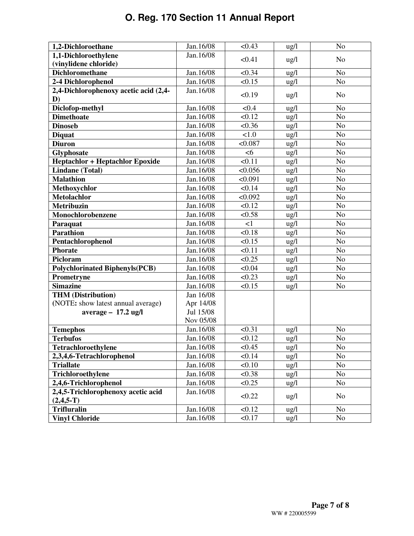| 1,2-Dichloroethane                     | Jan.16/08    | < 0.43   | ug/l            | N <sub>0</sub> |
|----------------------------------------|--------------|----------|-----------------|----------------|
| 1,1-Dichloroethylene                   | Jan.16/08    | < 0.41   | ug/l            | N <sub>o</sub> |
| (vinylidene chloride)                  |              |          |                 |                |
| <b>Dichloromethane</b>                 | Jan.16/08    | < 0.34   | ug/l            | N <sub>o</sub> |
| 2-4 Dichlorophenol                     | Jan.16/08    | < 0.15   | ug/l            | N <sub>o</sub> |
| 2,4-Dichlorophenoxy acetic acid (2,4-  | Jan.16/08    | < 0.19   | $\frac{1}{2}$   | N <sub>o</sub> |
| D)                                     |              |          |                 |                |
| Diclofop-methyl                        | Jan.16/08    | < 0.4    | $\lg/1$         | N <sub>o</sub> |
| <b>Dimethoate</b>                      | Jan.16/08    | < 0.12   | ug/l            | N <sub>o</sub> |
| <b>Dinoseb</b>                         | Jan.16/08    | < 0.36   | ug/l            | No             |
| <b>Diquat</b>                          | Jan.16/08    | 1.0      | $\frac{u g}{l}$ | N <sub>o</sub> |
| <b>Diuron</b>                          | Jan.16/08    | < 0.087  | ug/l            | N <sub>o</sub> |
| Glyphosate                             | Jan.16/08    | <6       | ug/l            | N <sub>o</sub> |
| <b>Heptachlor + Heptachlor Epoxide</b> | Jan.16/08    | < 0.11   | ug/l            | N <sub>o</sub> |
| <b>Lindane</b> (Total)                 | Jan.16/08    | < 0.056  | $\frac{u g}{l}$ | N <sub>o</sub> |
| <b>Malathion</b>                       | Jan.16/08    | < 0.091  | $\frac{u g}{l}$ | N <sub>o</sub> |
| Methoxychlor                           | Jan.16/08    | < 0.14   | $\frac{u}{g}$   | N <sub>o</sub> |
| <b>Metolachlor</b>                     | Jan.16/08    | < 0.092  | ug/l            | N <sub>o</sub> |
| <b>Metribuzin</b>                      | Jan.16/08    | < 0.12   | $\frac{u g}{l}$ | N <sub>o</sub> |
| Monochlorobenzene                      | Jan.16/08    | < 0.58   | ug/l            | N <sub>o</sub> |
| Paraquat                               | Jan.16/08    | $\leq$ 1 | $\frac{u g}{l}$ | N <sub>o</sub> |
| <b>Parathion</b>                       | Jan.16/08    | < 0.18   | $\frac{u}{g}$   | N <sub>o</sub> |
| Pentachlorophenol                      | Jan.16/08    | < 0.15   | $\frac{u}{g}$   | N <sub>o</sub> |
| <b>Phorate</b>                         | Jan.16/08    | < 0.11   | ug/l            | N <sub>o</sub> |
| Picloram                               | Jan.16/08    | < 0.25   | $\frac{u g}{l}$ | N <sub>o</sub> |
| <b>Polychlorinated Biphenyls(PCB)</b>  | Jan.16/08    | < 0.04   | ug/l            | N <sub>o</sub> |
| Prometryne                             | Jan.16/08    | < 0.23   | $\frac{u g}{l}$ | No             |
| <b>Simazine</b>                        | Jan.16/08    | < 0.15   | ug/l            | No             |
| <b>THM</b> (Distribution)              | Jan 16/08    |          |                 |                |
| (NOTE: show latest annual average)     | Apr 14/08    |          |                 |                |
| average $-17.2$ ug/l                   | Jul 15/08    |          |                 |                |
|                                        | Nov 05/08    |          |                 |                |
| <b>Temephos</b>                        | Jan.16/08    | < 0.31   | ug/l            | N <sub>o</sub> |
| <b>Terbufos</b>                        | Jan.16/08    | < 0.12   | $\frac{u}{g}$   | N <sub>o</sub> |
| Tetrachloroethylene                    | Jan. $16/08$ | < 0.45   | ug/l            | $\rm No$       |
| 2,3,4,6-Tetrachlorophenol              | Jan.16/08    | < 0.14   | $\frac{u g}{l}$ | N <sub>o</sub> |
| <b>Triallate</b>                       | Jan.16/08    | < 0.10   | ug/l            | N <sub>o</sub> |
| Trichloroethylene                      | Jan.16/08    | < 0.38   | $\frac{u g}{l}$ | N <sub>o</sub> |
| 2,4,6-Trichlorophenol                  | Jan.16/08    | < 0.25   | ug/l            | N <sub>o</sub> |
| 2,4,5-Trichlorophenoxy acetic acid     | Jan.16/08    | < 0.22   | $\frac{u}{g}$   | N <sub>o</sub> |
| $(2,4,5-T)$                            |              |          |                 |                |
| <b>Trifluralin</b>                     | Jan.16/08    | < 0.12   | $\frac{u g}{l}$ | N <sub>o</sub> |
| <b>Vinyl Chloride</b>                  | Jan.16/08    | < 0.17   | ug/l            | N <sub>o</sub> |